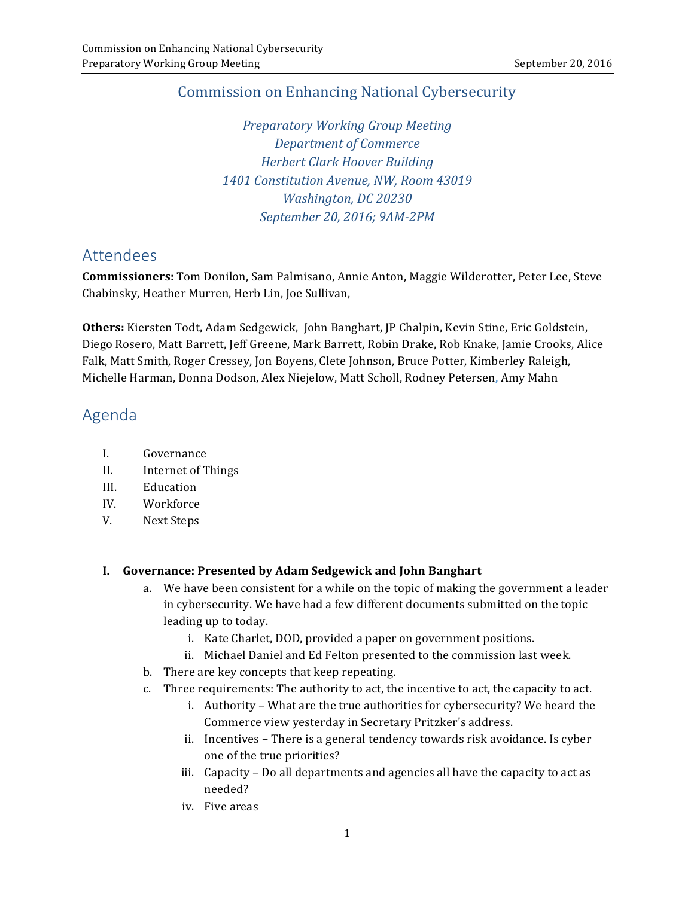# **Commission on Enhancing National Cybersecurity**

 *Preparatory Working Group Meeting Department of Commerce Herbert Clark Hoover Building 1401 Constitution Avenue, NW, Room 43019 Washington, DC 20230 September 20, 2016; 9AM-2PM*

# Attendees

 **Commissioners:** Tom Donilon, Sam Palmisano, Annie Anton, Maggie Wilderotter, Peter Lee, Steve Chabinsky, Heather Murren, Herb Lin, Joe Sullivan,

Others: Kiersten Todt, Adam Sedgewick, John Banghart, JP Chalpin, Kevin Stine, Eric Goldstein, Diego Rosero, Matt Barrett, Jeff Greene, Mark Barrett, Robin Drake, Rob Knake, Jamie Crooks, Alice Falk, Matt Smith, Roger Cressey, Jon Boyens, Clete Johnson, Bruce Potter, Kimberley Raleigh, Michelle Harman, Donna Dodson, Alex Niejelow, Matt Scholl, Rodney Petersen**,** Amy Mahn

# Agenda

- I. Governance
- II. Internet of Things
- III. Education
- IV. Workforce
- V. Next Steps

#### **I. Governance: Presented by Adam Sedgewick and John Banghart**

- a. We have been consistent for a while on the topic of making the government a leader in cybersecurity. We have had a few different documents submitted on the topic leading up to today.
	- i. Kate Charlet, DOD, provided a paper on government positions.
	- ii. Michael Daniel and Ed Felton presented to the commission last week.
- b. There are key concepts that keep repeating.
- c. Three requirements: The authority to act, the incentive to act, the capacity to act.
	- i. Authority What are the true authorities for cybersecurity? We heard the Commerce view yesterday in Secretary Pritzker's address.
	- ii. Incentives There is a general tendency towards risk avoidance. Is cyber one of the true priorities?
	- iii. Capacity Do all departments and agencies all have the capacity to act as needed?
	- iv. Five areas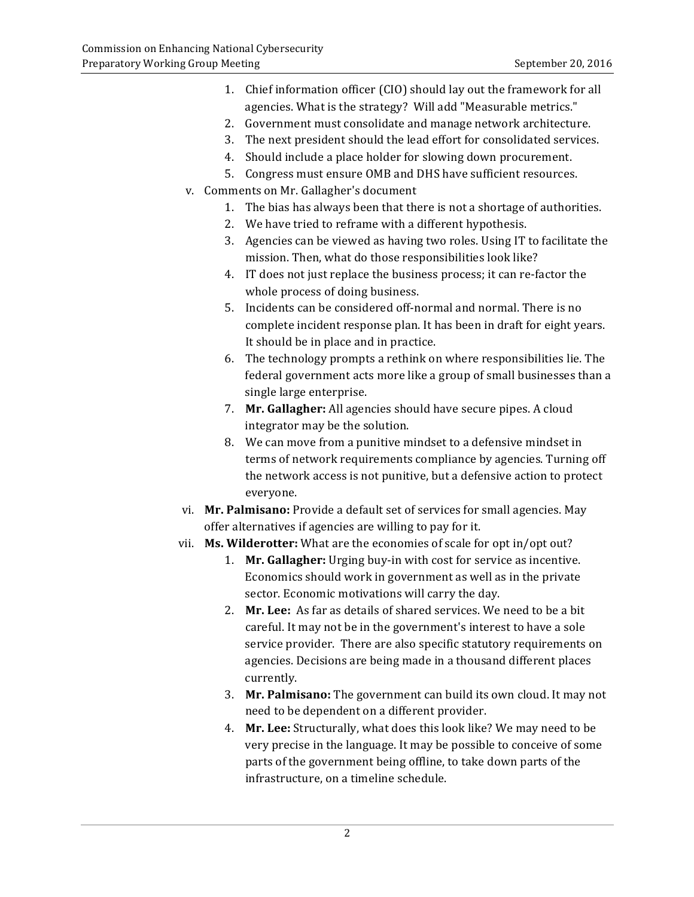- 1. Chief information officer (CIO) should lay out the framework for all agencies. What is the strategy? Will add "Measurable metrics."
- 2. Government must consolidate and manage network architecture.
- 3. The next president should the lead effort for consolidated services.
- 4. Should include a place holder for slowing down procurement.
- 5. Congress must ensure OMB and DHS have sufficient resources.
- v. Comments on Mr. Gallagher's document
	- 1. The bias has always been that there is not a shortage of authorities.
	- 2. We have tried to reframe with a different hypothesis.
	- 3. Agencies can be viewed as having two roles. Using IT to facilitate the mission. Then, what do those responsibilities look like?
	- 4. IT does not just replace the business process; it can re-factor the whole process of doing business.
	- 5. Incidents can be considered off-normal and normal. There is no complete incident response plan. It has been in draft for eight years. It should be in place and in practice.
	- 6. The technology prompts a rethink on where responsibilities lie. The federal government acts more like a group of small businesses than a single large enterprise.
	- 7. Mr. Gallagher: All agencies should have secure pipes. A cloud integrator may be the solution.
	- 8. We can move from a punitive mindset to a defensive mindset in terms of network requirements compliance by agencies. Turning off the network access is not punitive, but a defensive action to protect everyone.
- vi. **Mr. Palmisano:** Provide a default set of services for small agencies. May offer alternatives if agencies are willing to pay for it.
- vii. Ms. Wilderotter: What are the economies of scale for opt in/opt out?
	- 1. Mr. Gallagher: Urging buy-in with cost for service as incentive. Economics should work in government as well as in the private sector. Economic motivations will carry the day.
	- 2. Mr. Lee: As far as details of shared services. We need to be a bit careful. It may not be in the government's interest to have a sole service provider. There are also specific statutory requirements on agencies. Decisions are being made in a thousand different places currently.
	- 3. **Mr. Palmisano:** The government can build its own cloud. It may not need to be dependent on a different provider.
	- 4. **Mr. Lee:** Structurally, what does this look like? We may need to be very precise in the language. It may be possible to conceive of some parts of the government being offline, to take down parts of the infrastructure, on a timeline schedule.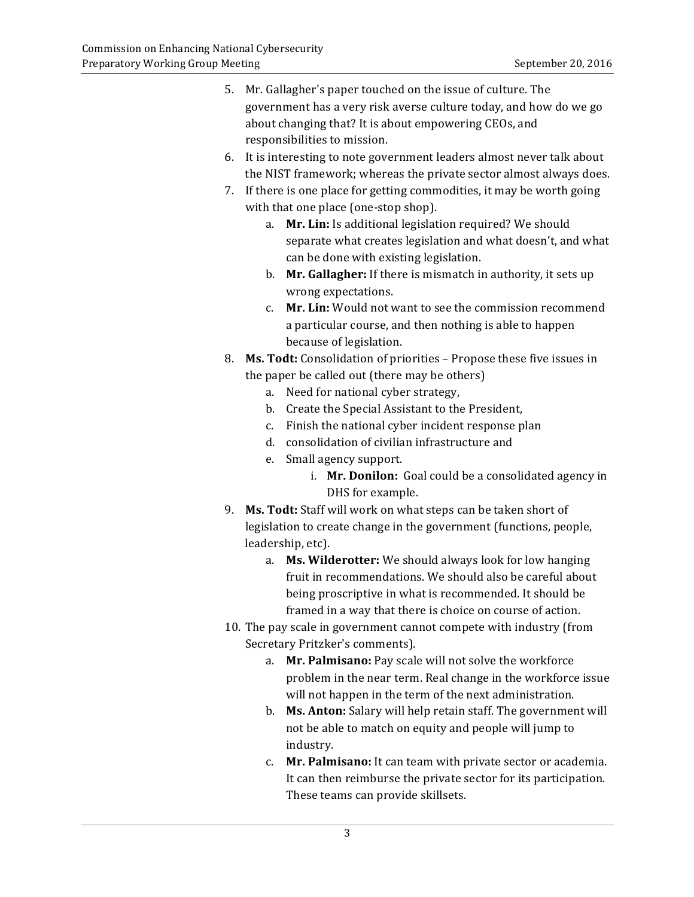| 5. | Mr. Gallagher's paper touched on the issue of culture. The           |                                                                          |  |
|----|----------------------------------------------------------------------|--------------------------------------------------------------------------|--|
|    |                                                                      | government has a very risk averse culture today, and how do we go        |  |
|    |                                                                      | about changing that? It is about empowering CEOs, and                    |  |
|    | responsibilities to mission.                                         |                                                                          |  |
| 6. |                                                                      | It is interesting to note government leaders almost never talk about     |  |
|    |                                                                      | the NIST framework; whereas the private sector almost always does.       |  |
| 7. | If there is one place for getting commodities, it may be worth going |                                                                          |  |
|    | with that one place (one-stop shop).                                 |                                                                          |  |
|    | a.                                                                   | Mr. Lin: Is additional legislation required? We should                   |  |
|    |                                                                      | separate what creates legislation and what doesn't, and what             |  |
|    |                                                                      | can be done with existing legislation.                                   |  |
|    | b.                                                                   | Mr. Gallagher: If there is mismatch in authority, it sets up             |  |
|    |                                                                      | wrong expectations.                                                      |  |
|    | C.                                                                   | Mr. Lin: Would not want to see the commission recommend                  |  |
|    |                                                                      | a particular course, and then nothing is able to happen                  |  |
|    |                                                                      | because of legislation.                                                  |  |
| 8. |                                                                      | Ms. Todt: Consolidation of priorities - Propose these five issues in     |  |
|    |                                                                      | the paper be called out (there may be others)                            |  |
|    | a.                                                                   | Need for national cyber strategy,                                        |  |
|    | b.                                                                   | Create the Special Assistant to the President,                           |  |
|    | c.                                                                   | Finish the national cyber incident response plan                         |  |
|    | d.                                                                   | consolidation of civilian infrastructure and                             |  |
|    | e.                                                                   | Small agency support.                                                    |  |
|    |                                                                      | i. Mr. Donilon: Goal could be a consolidated agency in                   |  |
|    |                                                                      | DHS for example.                                                         |  |
| 9. |                                                                      | Ms. Todt: Staff will work on what steps can be taken short of            |  |
|    | legislation to create change in the government (functions, people,   |                                                                          |  |
|    |                                                                      | leadership, etc).                                                        |  |
|    | a.                                                                   | Ms. Wilderotter: We should always look for low hanging                   |  |
|    |                                                                      | fruit in recommendations. We should also be careful about                |  |
|    |                                                                      | being proscriptive in what is recommended. It should be                  |  |
|    |                                                                      | framed in a way that there is choice on course of action.                |  |
|    | 10. The pay scale in government cannot compete with industry (from   |                                                                          |  |
|    |                                                                      | Secretary Pritzker's comments).                                          |  |
|    | a.                                                                   | Mr. Palmisano: Pay scale will not solve the workforce                    |  |
|    |                                                                      | problem in the near term. Real change in the workforce issue             |  |
|    |                                                                      | will not happen in the term of the next administration.                  |  |
|    | b.                                                                   | Ms. Anton: Salary will help retain staff. The government will            |  |
|    |                                                                      | not be able to match on equity and people will jump to                   |  |
|    | c.                                                                   | industry.<br>Mr. Palmisano: It can team with private sector or academia. |  |
|    |                                                                      | It can then reimburse the private sector for its participation.          |  |
|    |                                                                      | These teams can provide skillsets.                                       |  |
|    |                                                                      |                                                                          |  |
|    |                                                                      |                                                                          |  |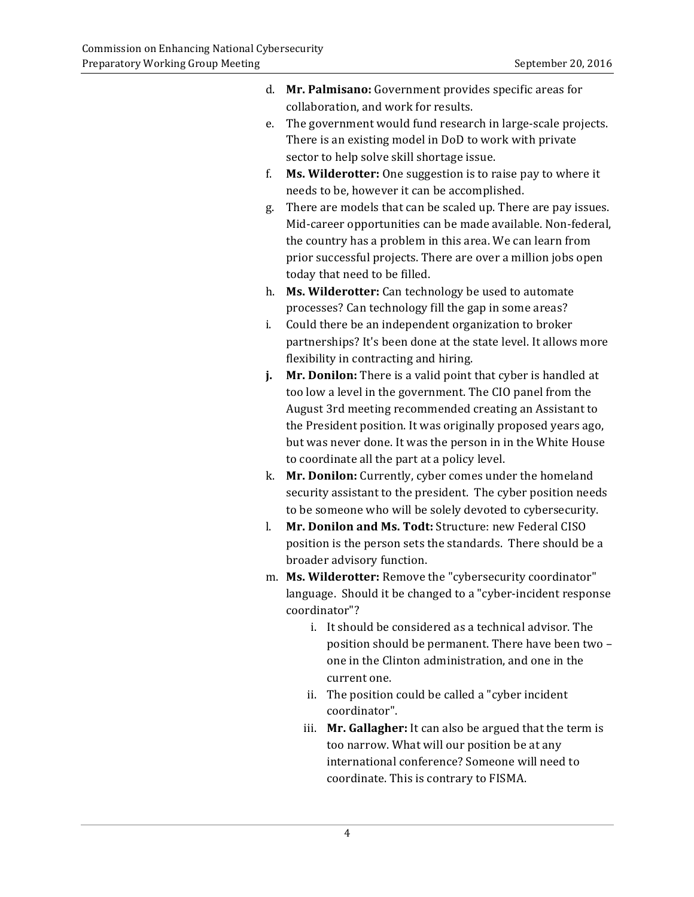- d. **Mr. Palmisano:** Government provides specific areas for collaboration, and work for results.
- e. The government would fund research in large-scale projects. There is an existing model in DoD to work with private sector to help solve skill shortage issue.
- f. **Ms. Wilderotter:** One suggestion is to raise pay to where it needs to be, however it can be accomplished.
- g. There are models that can be scaled up. There are pay issues. Mid-career opportunities can be made available. Non-federal, the country has a problem in this area. We can learn from prior successful projects. There are over a million jobs open today that need to be filled.
- h. **Ms. Wilderotter:** Can technology be used to automate processes? Can technology fill the gap in some areas?
- i. Could there be an independent organization to broker partnerships? It's been done at the state level. It allows more flexibility in contracting and hiring.
- *j.* Mr. Donilon: There is a valid point that cyber is handled at too low a level in the government. The CIO panel from the the President position. It was originally proposed years ago, but was never done. It was the person in in the White House to coordinate all the part at a policy level. August 3rd meeting recommended creating an Assistant to
- k. Mr. Donilon: Currently, cyber comes under the homeland security assistant to the president. The cyber position needs to be someone who will be solely devoted to cybersecurity.
- l. Mr. Donilon and Ms. Todt: Structure: new Federal CISO position is the person sets the standards. There should be a broader advisory function.
- m. **Ms. Wilderotter:** Remove the "cybersecurity coordinator" language. Should it be changed to a "cyber-incident response coordinator"?
	- i. It should be considered as a technical advisor. The position should be permanent. There have been two one in the Clinton administration, and one in the current one.
	- ii. The position could be called a "cyber incident coordinator".
	- iii. Mr. Gallagher: It can also be argued that the term is too narrow. What will our position be at any international conference? Someone will need to coordinate. This is contrary to FISMA.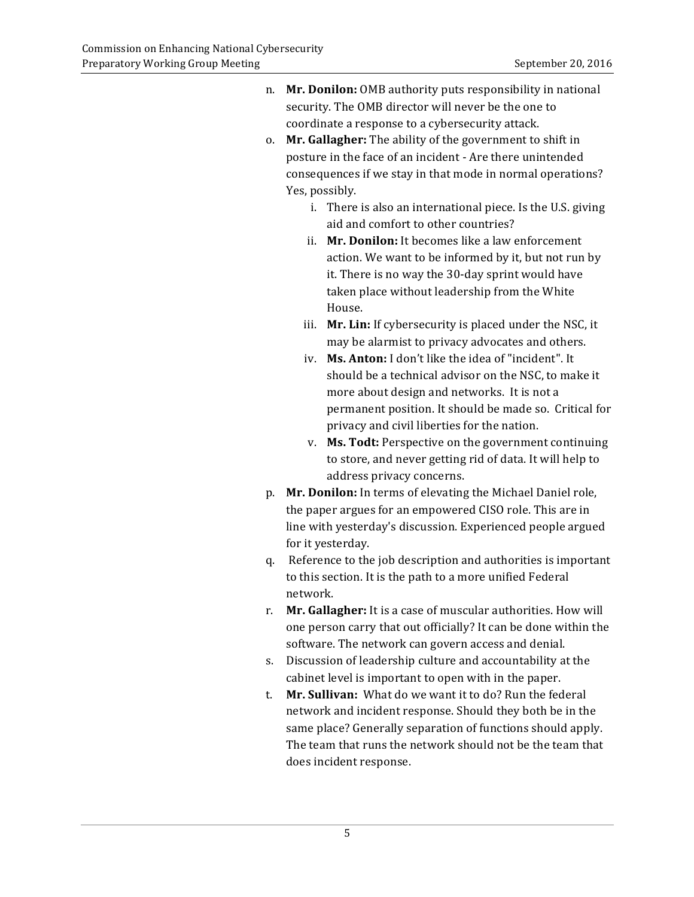- n. Mr. Donilon: OMB authority puts responsibility in national security. The OMB director will never be the one to coordinate a response to a cybersecurity attack.
- o. Mr. Gallagher: The ability of the government to shift in posture in the face of an incident - Are there unintended consequences if we stay in that mode in normal operations? Yes, possibly.
	- i. There is also an international piece. Is the U.S. giving aid and comfort to other countries?
	- ii. Mr. Donilon: It becomes like a law enforcement action. We want to be informed by it, but not run by it. There is no way the 30-day sprint would have taken place without leadership from the White House.
	- iii. **Mr. Lin:** If cybersecurity is placed under the NSC, it may be alarmist to privacy advocates and others.
	- iv. Ms. Anton: I don't like the idea of "incident". It should be a technical advisor on the NSC, to make it more about design and networks. It is not a permanent position. It should be made so. Critical for privacy and civil liberties for the nation.
	- to store, and never getting rid of data. It will help to v. Ms. Todt: Perspective on the government continuing address privacy concerns.
- p. **Mr. Donilon:** In terms of elevating the Michael Daniel role, the paper argues for an empowered CISO role. This are in line with yesterday's discussion. Experienced people argued for it yesterday.
- q. Reference to the job description and authorities is important to this section. It is the path to a more unified Federal network.
- r. Mr. Gallagher: It is a case of muscular authorities. How will one person carry that out officially? It can be done within the software. The network can govern access and denial.
- s. Discussion of leadership culture and accountability at the cabinet level is important to open with in the paper.
- t. **Mr. Sullivan:** What do we want it to do? Run the federal network and incident response. Should they both be in the same place? Generally separation of functions should apply. The team that runs the network should not be the team that does incident response.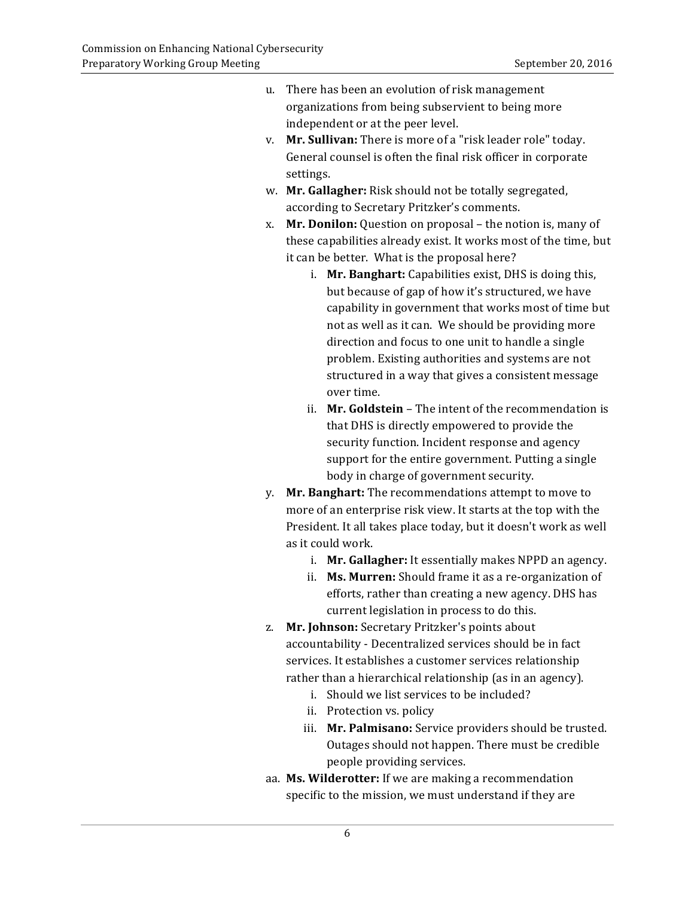- u. There has been an evolution of risk management organizations from being subservient to being more independent or at the peer level.
- v. **Mr. Sullivan:** There is more of a "risk leader role" today. General counsel is often the final risk officer in corporate settings.
- w. Mr. Gallagher: Risk should not be totally segregated, according to Secretary Pritzker's comments.
- x. **Mr. Donilon:** Question on proposal the notion is, many of these capabilities already exist. It works most of the time, but it can be better. What is the proposal here?
	- i. **Mr. Banghart:** Capabilities exist, DHS is doing this, but because of gap of how it's structured, we have capability in government that works most of time but not as well as it can. We should be providing more direction and focus to one unit to handle a single problem. Existing authorities and systems are not structured in a way that gives a consistent message over time.
	- ii. Mr. Goldstein The intent of the recommendation is that DHS is directly empowered to provide the security function. Incident response and agency support for the entire government. Putting a single body in charge of government security.
- y. **Mr. Banghart:** The recommendations attempt to move to more of an enterprise risk view. It starts at the top with the President. It all takes place today, but it doesn't work as well as it could work.
	- i. Mr. Gallagher: It essentially makes NPPD an agency.
	- ii. Ms. Murren: Should frame it as a re-organization of efforts, rather than creating a new agency. DHS has current legislation in process to do this.
- z. **Mr. Johnson:** Secretary Pritzker's points about accountability - Decentralized services should be in fact services. It establishes a customer services relationship rather than a hierarchical relationship (as in an agency).
	- i. Should we list services to be included?
	- ii. Protection vs. policy
	- iii. Mr. Palmisano: Service providers should be trusted. Outages should not happen. There must be credible people providing services.
- aa. **Ms. Wilderotter:** If we are making a recommendation specific to the mission, we must understand if they are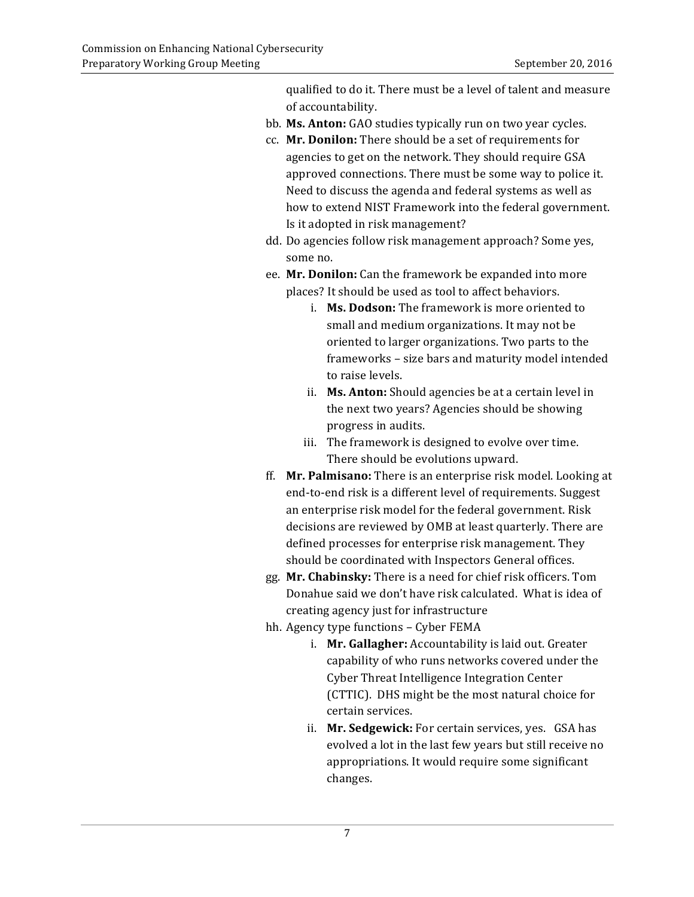qualified to do it. There must be a level of talent and measure of accountability.

- bb. **Ms. Anton:** GAO studies typically run on two year cycles.
- cc. **Mr. Donilon:** There should be a set of requirements for agencies to get on the network. They should require GSA approved connections. There must be some way to police it. Need to discuss the agenda and federal systems as well as how to extend NIST Framework into the federal government. Is it adopted in risk management?
- dd. Do agencies follow risk management approach? Some yes, some no.
- ee. **Mr. Donilon:** Can the framework be expanded into more places? It should be used as tool to affect behaviors.
	- i. Ms. Dodson: The framework is more oriented to small and medium organizations. It may not be oriented to larger organizations. Two parts to the frameworks - size bars and maturity model intended to raise levels.
	- ii. Ms. Anton: Should agencies be at a certain level in the next two years? Agencies should be showing progress in audits.
	- iii. The framework is designed to evolve over time. There should be evolutions upward.
- ff. Mr. Palmisano: There is an enterprise risk model. Looking at end-to-end risk is a different level of requirements. Suggest an enterprise risk model for the federal government. Risk decisions are reviewed by OMB at least quarterly. There are defined processes for enterprise risk management. They should be coordinated with Inspectors General offices.
- gg. **Mr. Chabinsky:** There is a need for chief risk officers. Tom Donahue said we don't have risk calculated. What is idea of creating agency just for infrastructure
- hh. Agency type functions Cyber FEMA
	- i. **Mr. Gallagher:** Accountability is laid out. Greater capability of who runs networks covered under the Cyber Threat Intelligence Integration Center (CTTIC). DHS might be the most natural choice for certain services.
	- ii. Mr. Sedgewick: For certain services, yes. GSA has evolved a lot in the last few years but still receive no appropriations. It would require some significant changes.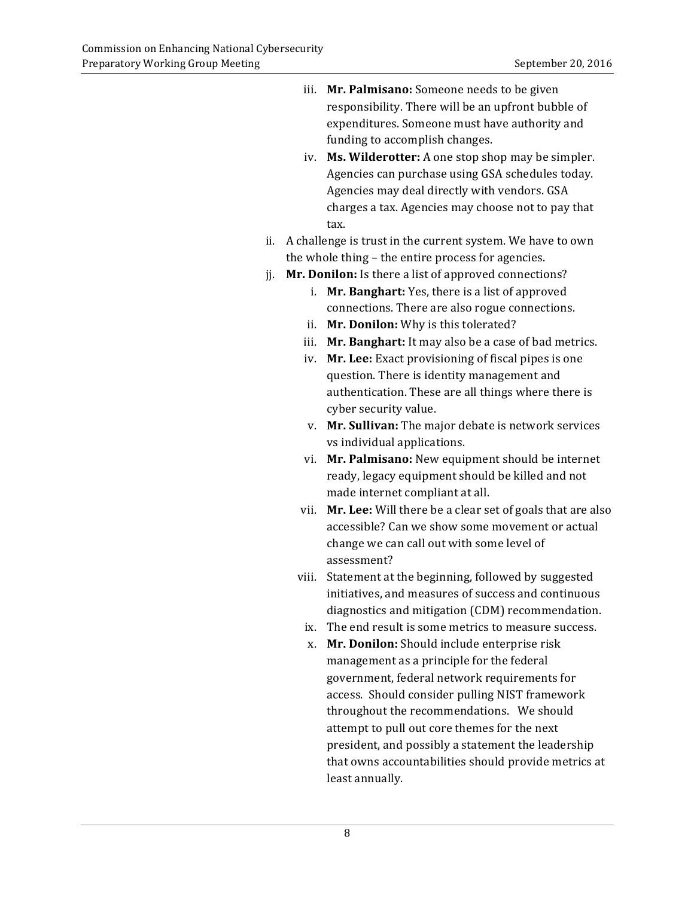- iii. Mr. Palmisano: Someone needs to be given responsibility. There will be an upfront bubble of funding to accomplish changes. expenditures. Someone must have authority and
- iv. **Ms. Wilderotter:** A one stop shop may be simpler. Agencies can purchase using GSA schedules today. Agencies may deal directly with vendors. GSA charges a tax. Agencies may choose not to pay that tax.
- ii. A challenge is trust in the current system. We have to own the whole thing – the entire process for agencies.
- jj. Mr. Donilon: Is there a list of approved connections?
	- i. Mr. Banghart: Yes, there is a list of approved connections. There are also rogue connections.
	- ii. **Mr. Donilon:** Why is this tolerated?
	- iii. Mr. Banghart: It may also be a case of bad metrics.
	- iv. Mr. Lee: Exact provisioning of fiscal pipes is one question. There is identity management and authentication. These are all things where there is cyber security value.
	- v. **Mr. Sullivan:** The major debate is network services vs individual applications.
	- vi. **Mr. Palmisano:** New equipment should be internet ready, legacy equipment should be killed and not made internet compliant at all.
	- vii. Mr. Lee: Will there be a clear set of goals that are also accessible? Can we show some movement or actual change we can call out with some level of assessment?
	- viii. Statement at the beginning, followed by suggested initiatives, and measures of success and continuous diagnostics and mitigation (CDM) recommendation.
	- ix. The end result is some metrics to measure success.
		- x. **Mr. Donilon:** Should include enterprise risk management as a principle for the federal government, federal network requirements for access. Should consider pulling NIST framework throughout the recommendations. We should attempt to pull out core themes for the next president, and possibly a statement the leadership that owns accountabilities should provide metrics at least annually.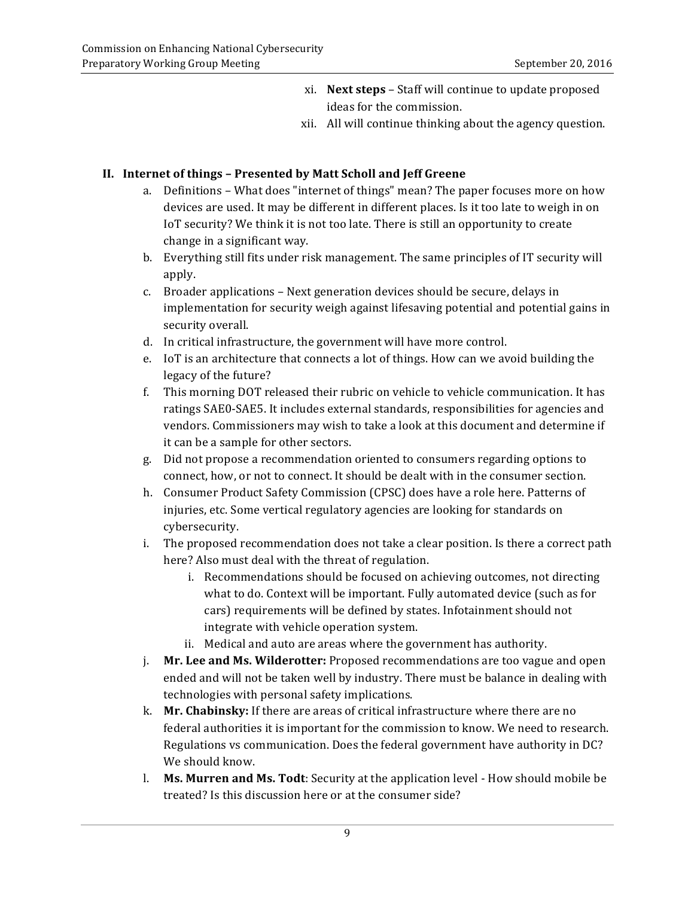- xi. **Next steps** Staff will continue to update proposed ideas for the commission.
- xii. All will continue thinking about the agency question.

## **II. Internet of things – Presented by Matt Scholl and Jeff Greene**

- a. Definitions What does "internet of things" mean? The paper focuses more on how devices are used. It may be different in different places. Is it too late to weigh in on IoT security? We think it is not too late. There is still an opportunity to create change in a significant way.
- b. Everything still fits under risk management. The same principles of IT security will apply.
- c. Broader applications Next generation devices should be secure, delays in implementation for security weigh against lifesaving potential and potential gains in security overall.
- d. In critical infrastructure, the government will have more control.
- e. IoT is an architecture that connects a lot of things. How can we avoid building the legacy of the future?
- f. This morning DOT released their rubric on vehicle to vehicle communication. It has ratings SAE0-SAE5. It includes external standards, responsibilities for agencies and vendors. Commissioners may wish to take a look at this document and determine if it can be a sample for other sectors.
- g. Did not propose a recommendation oriented to consumers regarding options to connect, how, or not to connect. It should be dealt with in the consumer section.
- h. Consumer Product Safety Commission (CPSC) does have a role here. Patterns of injuries, etc. Some vertical regulatory agencies are looking for standards on cybersecurity.
- i. The proposed recommendation does not take a clear position. Is there a correct path here? Also must deal with the threat of regulation.
	- i. Recommendations should be focused on achieving outcomes, not directing what to do. Context will be important. Fully automated device (such as for cars) requirements will be defined by states. Infotainment should not integrate with vehicle operation system.
	- ii. Medical and auto are areas where the government has authority.
- *i.* Mr. Lee and Ms. Wilderotter: Proposed recommendations are too vague and open ended and will not be taken well by industry. There must be balance in dealing with technologies with personal safety implications.
- k. **Mr. Chabinsky:** If there are areas of critical infrastructure where there are no federal authorities it is important for the commission to know. We need to research. Regulations vs communication. Does the federal government have authority in DC? We should know.
- **l. Ms. Murren and Ms. Todt**: Security at the application level How should mobile be treated? Is this discussion here or at the consumer side?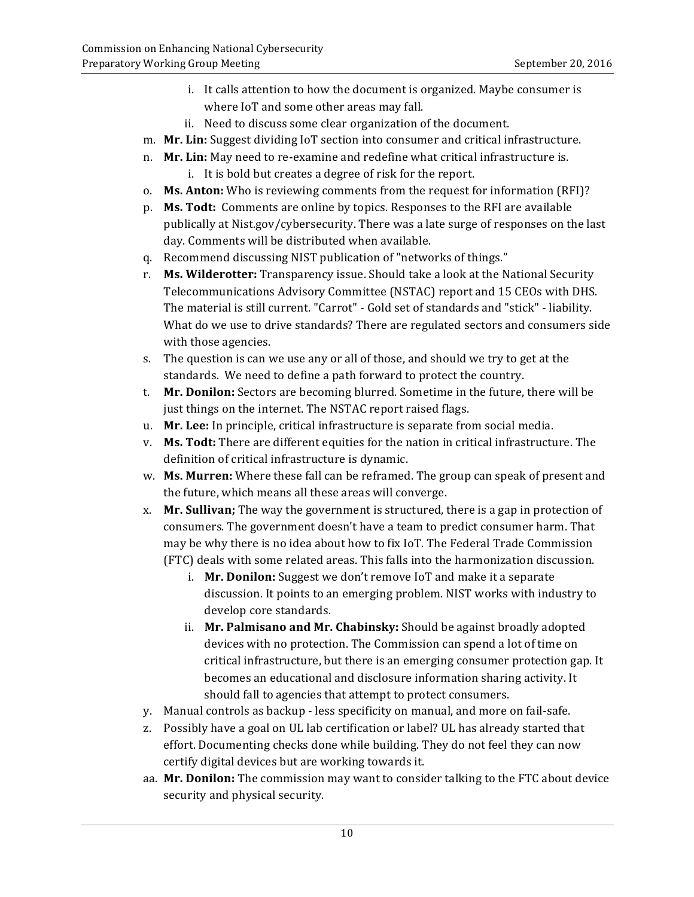- i. It calls attention to how the document is organized. Maybe consumer is where IoT and some other areas may fall.
- ii. Need to discuss some clear organization of the document.
- m. Mr. Lin: Suggest dividing IoT section into consumer and critical infrastructure.
- n. Mr. Lin: May need to re-examine and redefine what critical infrastructure is.
	- i. It is bold but creates a degree of risk for the report.
- o. Ms. Anton: Who is reviewing comments from the request for information (RFI)?
- p. Ms. Todt: Comments are online by topics. Responses to the RFI are available publically at Nist.gov/cybersecurity. There was a late surge of responses on the last day. Comments will be distributed when available.
- q. Recommend discussing NIST publication of "networks of things."
- r. Ms. Wilderotter: Transparency issue. Should take a look at the National Security Telecommunications Advisory Committee (NSTAC) report and 15 CEOs with DHS. The material is still current. "Carrot" - Gold set of standards and "stick" - liability. What do we use to drive standards? There are regulated sectors and consumers side with those agencies.
- s. The question is can we use any or all of those, and should we try to get at the standards. We need to define a path forward to protect the country.
- t. **Mr. Donilon:** Sectors are becoming blurred. Sometime in the future, there will be just things on the internet. The NSTAC report raised flags.
- u. **Mr. Lee:** In principle, critical infrastructure is separate from social media.
- v. Ms. Todt: There are different equities for the nation in critical infrastructure. The definition of critical infrastructure is dynamic.
- w. Ms. Murren: Where these fall can be reframed. The group can speak of present and the future, which means all these areas will converge.
- x. **Mr. Sullivan;** The way the government is structured, there is a gap in protection of consumers. The government doesn't have a team to predict consumer harm. That may be why there is no idea about how to fix IoT. The Federal Trade Commission (FTC) deals with some related areas. This falls into the harmonization discussion.
	- i. Mr. Donilon: Suggest we don't remove IoT and make it a separate discussion. It points to an emerging problem. NIST works with industry to develop core standards.
	- ii. Mr. Palmisano and Mr. Chabinsky: Should be against broadly adopted devices with no protection. The Commission can spend a lot of time on becomes an educational and disclosure information sharing activity. It should fall to agencies that attempt to protect consumers. critical infrastructure, but there is an emerging consumer protection gap. It
- y. Manual controls as backup less specificity on manual, and more on fail-safe.
- z. Possibly have a goal on UL lab certification or label? UL has already started that effort. Documenting checks done while building. They do not feel they can now certify digital devices but are working towards it.
- aa. **Mr. Donilon:** The commission may want to consider talking to the FTC about device security and physical security.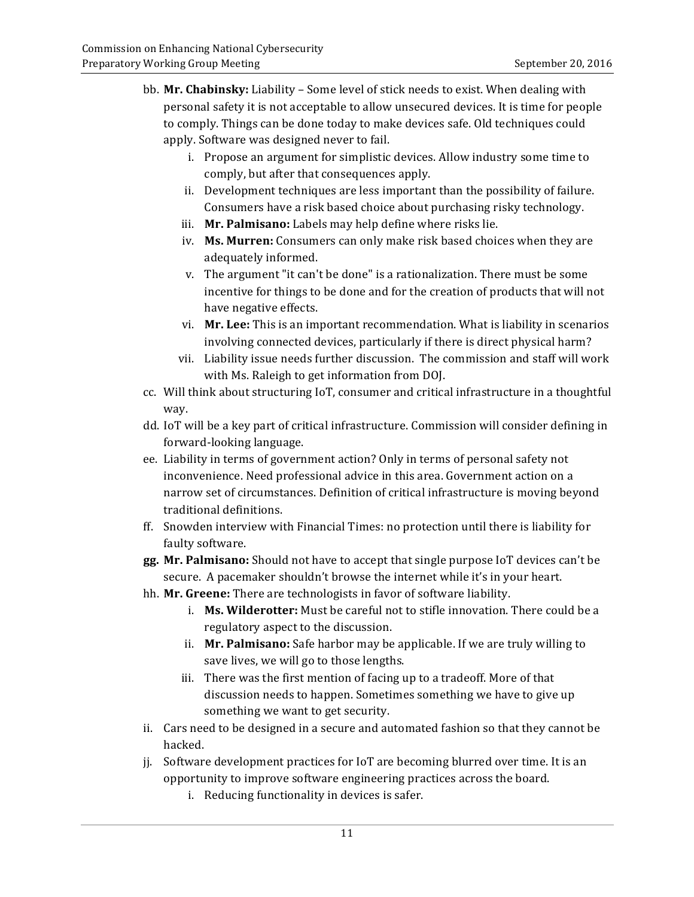- bb. Mr. Chabinsky: Liability Some level of stick needs to exist. When dealing with personal safety it is not acceptable to allow unsecured devices. It is time for people to comply. Things can be done today to make devices safe. Old techniques could apply. Software was designed never to fail.
	- i. Propose an argument for simplistic devices. Allow industry some time to comply, but after that consequences apply.
	- ii. Development techniques are less important than the possibility of failure. Consumers have a risk based choice about purchasing risky technology.
	- iii. Mr. Palmisano: Labels may help define where risks lie.
	- iv. Ms. Murren: Consumers can only make risk based choices when they are adequately informed.
	- v. The argument "it can't be done" is a rationalization. There must be some incentive for things to be done and for the creation of products that will not have negative effects.
	- vi. Mr. Lee: This is an important recommendation. What is liability in scenarios involving connected devices, particularly if there is direct physical harm?
	- vii. Liability issue needs further discussion. The commission and staff will work with Ms. Raleigh to get information from DOJ.
- cc. Will think about structuring IoT, consumer and critical infrastructure in a thoughtful way.
- dd. IoT will be a key part of critical infrastructure. Commission will consider defining in forward-looking language.
- ee. Liability in terms of government action? Only in terms of personal safety not inconvenience. Need professional advice in this area. Government action on a narrow set of circumstances. Definition of critical infrastructure is moving beyond traditional definitions.
- ff. Snowden interview with Financial Times: no protection until there is liability for faulty software.
- **gg. Mr. Palmisano:** Should not have to accept that single purpose IoT devices can't be secure. A pacemaker shouldn't browse the internet while it's in your heart.
- hh. **Mr. Greene:** There are technologists in favor of software liability.
	- i. **Ms. Wilderotter:** Must be careful not to stifle innovation. There could be a regulatory aspect to the discussion.
	- ii. **Mr. Palmisano:** Safe harbor may be applicable. If we are truly willing to save lives, we will go to those lengths.
	- iii. There was the first mention of facing up to a tradeoff. More of that discussion needs to happen. Sometimes something we have to give up something we want to get security.
- ii. Cars need to be designed in a secure and automated fashion so that they cannot be hacked.
- jj. Software development practices for IoT are becoming blurred over time. It is an opportunity to improve software engineering practices across the board.
	- i. Reducing functionality in devices is safer.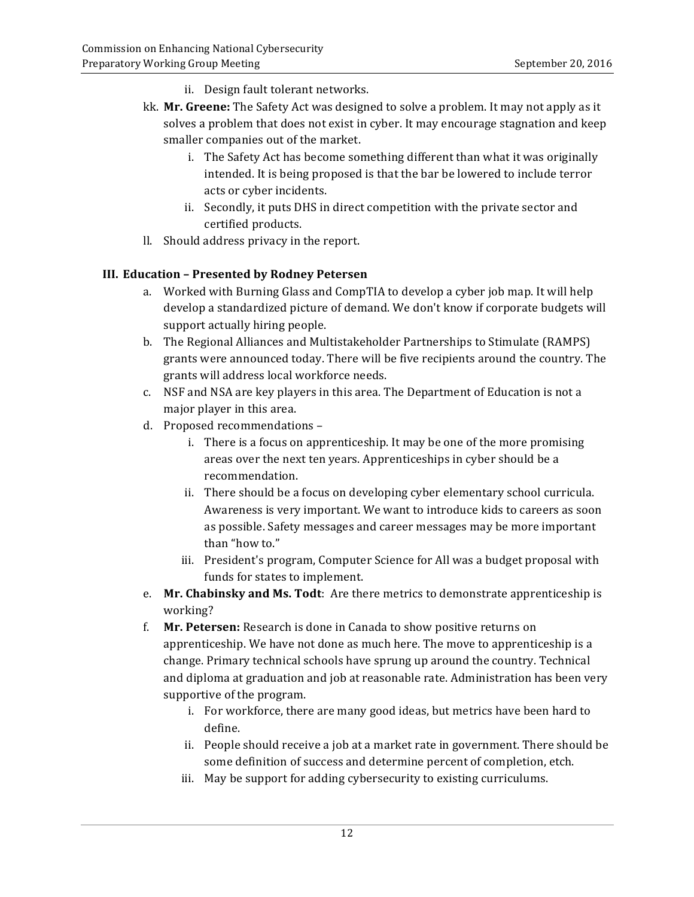- ii. Design fault tolerant networks.
- kk. **Mr. Greene:** The Safety Act was designed to solve a problem. It may not apply as it solves a problem that does not exist in cyber. It may encourage stagnation and keep smaller companies out of the market.
	- i. The Safety Act has become something different than what it was originally intended. It is being proposed is that the bar be lowered to include terror acts or cyber incidents.
	- certified products. ii. Secondly, it puts DHS in direct competition with the private sector and
- Il. Should address privacy in the report.

### **III. Education – Presented by Rodney Petersen**

- a. Worked with Burning Glass and CompTIA to develop a cyber job map. It will help develop a standardized picture of demand. We don't know if corporate budgets will support actually hiring people.
- b. The Regional Alliances and Multistakeholder Partnerships to Stimulate (RAMPS) grants were announced today. There will be five recipients around the country. The grants will address local workforce needs.
- c. NSF and NSA are key players in this area. The Department of Education is not a major player in this area.
- d. Proposed recommendations
	- i. There is a focus on apprenticeship. It may be one of the more promising areas over the next ten years. Apprenticeships in cyber should be a recommendation.
	- ii. There should be a focus on developing cyber elementary school curricula. Awareness is very important. We want to introduce kids to careers as soon as possible. Safety messages and career messages may be more important than "how to."
	- iii. President's program, Computer Science for All was a budget proposal with funds for states to implement.
- e. Mr. Chabinsky and Ms. Todt: Are there metrics to demonstrate apprenticeship is working?
- f. **Mr. Petersen:** Research is done in Canada to show positive returns on apprenticeship. We have not done as much here. The move to apprenticeship is a change. Primary technical schools have sprung up around the country. Technical and diploma at graduation and job at reasonable rate. Administration has been very supportive of the program.
	- i. For workforce, there are many good ideas, but metrics have been hard to define.
	- ii. People should receive a job at a market rate in government. There should be some definition of success and determine percent of completion, etch.
	- iii. May be support for adding cybersecurity to existing curriculums.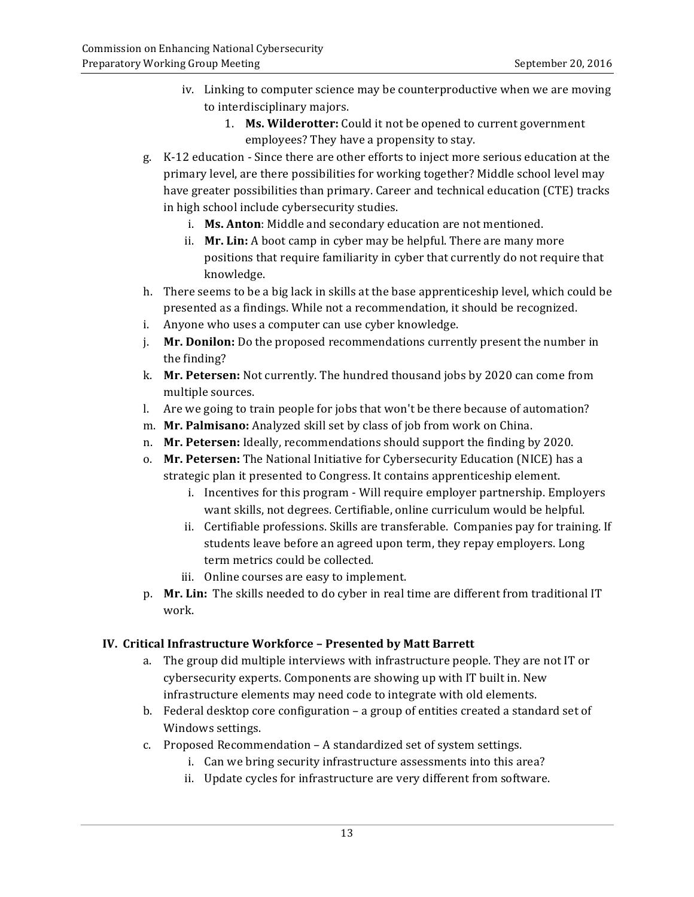- iv. Linking to computer science may be counterproductive when we are moving to interdisciplinary majors.
	- 1. Ms. Wilderotter: Could it not be opened to current government employees? They have a propensity to stay.
- g. K-12 education Since there are other efforts to inject more serious education at the primary level, are there possibilities for working together? Middle school level may have greater possibilities than primary. Career and technical education (CTE) tracks in high school include cybersecurity studies.
	- i. Ms. Anton: Middle and secondary education are not mentioned.
	- ii. **Mr. Lin:** A boot camp in cyber may be helpful. There are many more positions that require familiarity in cyber that currently do not require that knowledge.
- h. There seems to be a big lack in skills at the base apprenticeship level, which could be presented as a findings. While not a recommendation, it should be recognized.
- i. Anyone who uses a computer can use cyber knowledge.
- j. **Mr. Donilon:** Do the proposed recommendations currently present the number in the finding?
- k. **Mr. Petersen:** Not currently. The hundred thousand jobs by 2020 can come from multiple sources.
- l. Are we going to train people for jobs that won't be there because of automation?
- m. **Mr. Palmisano:** Analyzed skill set by class of job from work on China.
- n. Mr. Petersen: Ideally, recommendations should support the finding by 2020.
- o. Mr. Petersen: The National Initiative for Cybersecurity Education (NICE) has a strategic plan it presented to Congress. It contains apprenticeship element.
	- i. Incentives for this program Will require employer partnership. Employers want skills, not degrees. Certifiable, online curriculum would be helpful.
	- ii. Certifiable professions. Skills are transferable. Companies pay for training. If students leave before an agreed upon term, they repay employers. Long term metrics could be collected.
	- iii. Online courses are easy to implement.
- p. **Mr. Lin:** The skills needed to do cyber in real time are different from traditional IT work.

## **IV. Critical Infrastructure Workforce – Presented by Matt Barrett**

- a. The group did multiple interviews with infrastructure people. They are not IT or cybersecurity experts. Components are showing up with IT built in. New infrastructure elements may need code to integrate with old elements.
- b. Federal desktop core configuration a group of entities created a standard set of Windows settings.
- c. Proposed Recommendation A standardized set of system settings.
	- i. Can we bring security infrastructure assessments into this area?
	- ii. Update cycles for infrastructure are very different from software.